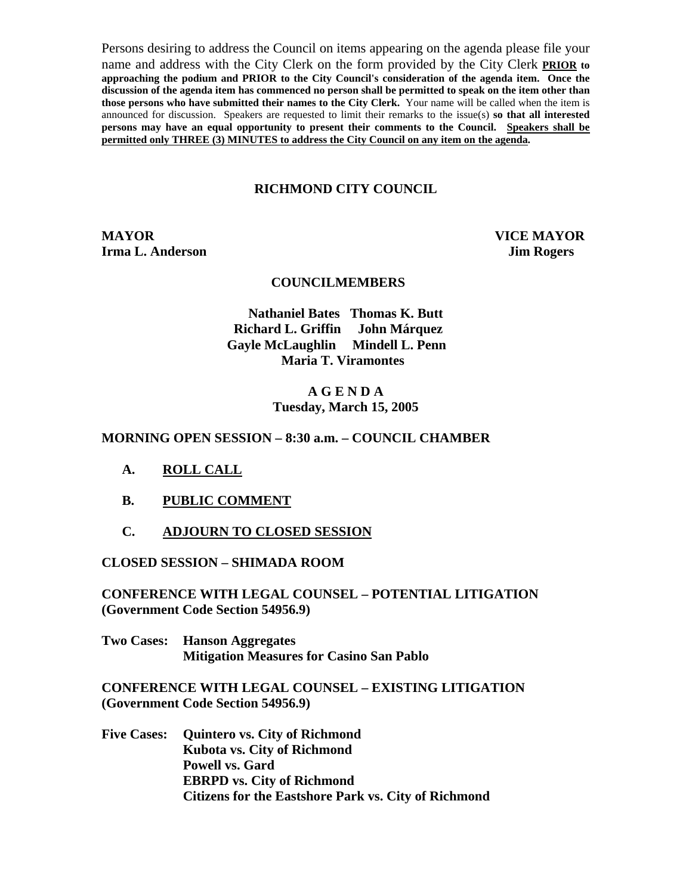Persons desiring to address the Council on items appearing on the agenda please file your name and address with the City Clerk on the form provided by the City Clerk **PRIOR to approaching the podium and PRIOR to the City Council's consideration of the agenda item. Once the discussion of the agenda item has commenced no person shall be permitted to speak on the item other than those persons who have submitted their names to the City Clerk.** Your name will be called when the item is announced for discussion. Speakers are requested to limit their remarks to the issue(s) **so that all interested persons may have an equal opportunity to present their comments to the Council. Speakers shall be permitted only THREE (3) MINUTES to address the City Council on any item on the agenda.**

### **RICHMOND CITY COUNCIL**

**MAYOR VICE MAYOR Irma L. Anderson Jim Rogers** 

#### **COUNCILMEMBERS**

**Nathaniel Bates Thomas K. Butt Richard L. Griffin John Márquez Gayle McLaughlin Mindell L. Penn Maria T. Viramontes** 

#### **A G E N D A Tuesday, March 15, 2005**

#### **MORNING OPEN SESSION – 8:30 a.m. – COUNCIL CHAMBER**

- **A. ROLL CALL**
- **B. PUBLIC COMMENT**
- **C. ADJOURN TO CLOSED SESSION**

**CLOSED SESSION – SHIMADA ROOM** 

**CONFERENCE WITH LEGAL COUNSEL – POTENTIAL LITIGATION (Government Code Section 54956.9)** 

**Two Cases: Hanson Aggregates Mitigation Measures for Casino San Pablo** 

**CONFERENCE WITH LEGAL COUNSEL – EXISTING LITIGATION (Government Code Section 54956.9)** 

**Five Cases: Quintero vs. City of Richmond Kubota vs. City of Richmond Powell vs. Gard EBRPD vs. City of Richmond Citizens for the Eastshore Park vs. City of Richmond**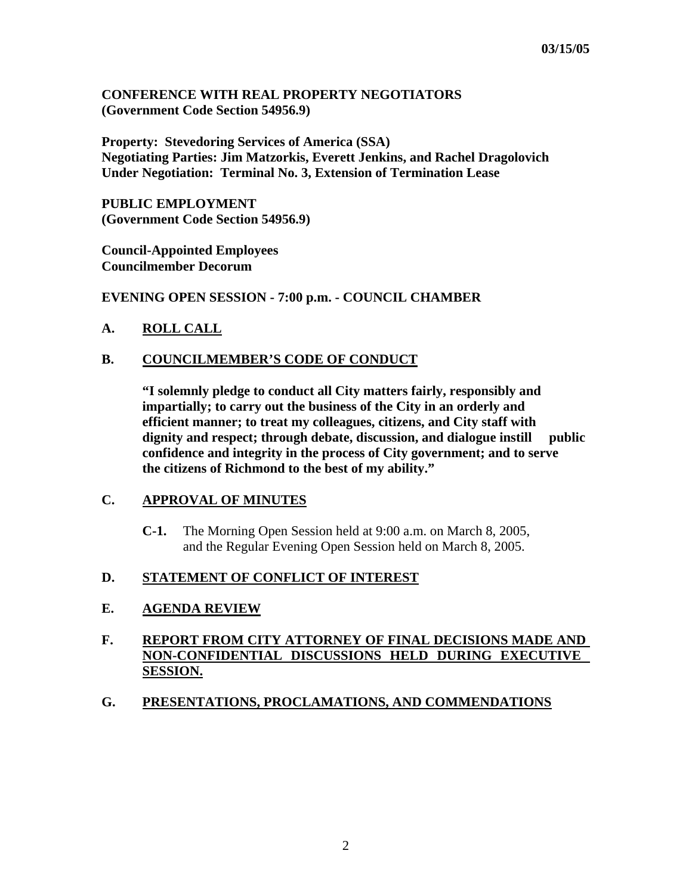### **CONFERENCE WITH REAL PROPERTY NEGOTIATORS (Government Code Section 54956.9)**

**Property: Stevedoring Services of America (SSA) Negotiating Parties: Jim Matzorkis, Everett Jenkins, and Rachel Dragolovich Under Negotiation: Terminal No. 3, Extension of Termination Lease** 

**PUBLIC EMPLOYMENT (Government Code Section 54956.9)** 

**Council-Appointed Employees Councilmember Decorum** 

**EVENING OPEN SESSION - 7:00 p.m. - COUNCIL CHAMBER** 

# **A. ROLL CALL**

# **B. COUNCILMEMBER'S CODE OF CONDUCT**

 **"I solemnly pledge to conduct all City matters fairly, responsibly and impartially; to carry out the business of the City in an orderly and efficient manner; to treat my colleagues, citizens, and City staff with dignity and respect; through debate, discussion, and dialogue instill public confidence and integrity in the process of City government; and to serve the citizens of Richmond to the best of my ability."** 

### **C. APPROVAL OF MINUTES**

**C-1.** The Morning Open Session held at 9:00 a.m. on March 8, 2005, and the Regular Evening Open Session held on March 8, 2005.

#### **D. STATEMENT OF CONFLICT OF INTEREST**

# **E. AGENDA REVIEW**

# **F. REPORT FROM CITY ATTORNEY OF FINAL DECISIONS MADE AND NON-CONFIDENTIAL DISCUSSIONS HELD DURING EXECUTIVE SESSION.**

#### **G. PRESENTATIONS, PROCLAMATIONS, AND COMMENDATIONS**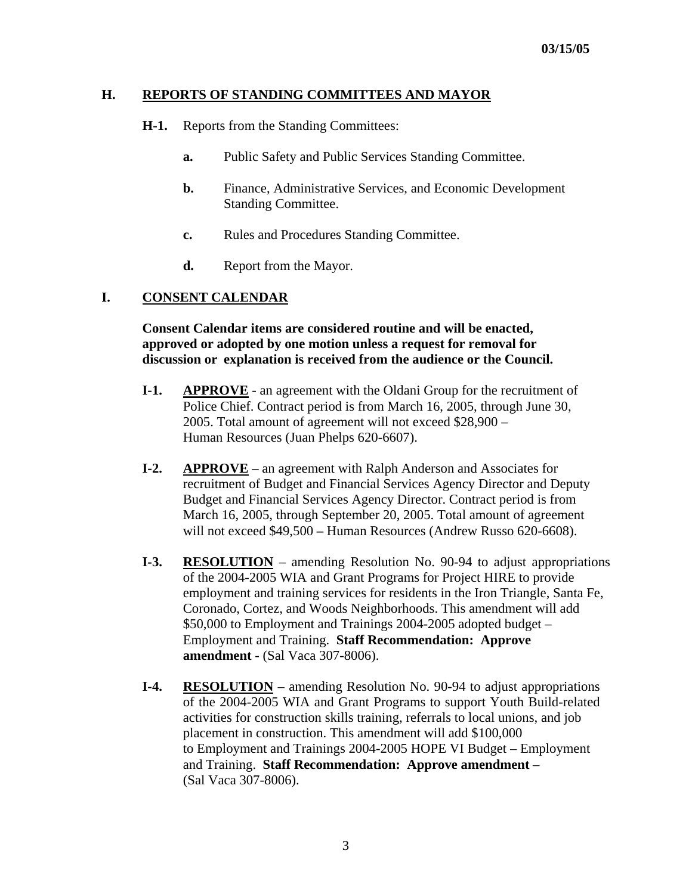### **H. REPORTS OF STANDING COMMITTEES AND MAYOR**

- **H-1.** Reports from the Standing Committees:
	- **a.** Public Safety and Public Services Standing Committee.
	- **b.** Finance, Administrative Services, and Economic Development Standing Committee.
	- **c.** Rules and Procedures Standing Committee.
	- **d.** Report from the Mayor.

### **I. CONSENT CALENDAR**

 **Consent Calendar items are considered routine and will be enacted, approved or adopted by one motion unless a request for removal for discussion or explanation is received from the audience or the Council.** 

- **I-1.** APPROVE an agreement with the Oldani Group for the recruitment of Police Chief. Contract period is from March 16, 2005, through June 30, 2005. Total amount of agreement will not exceed \$28,900 – Human Resources (Juan Phelps 620-6607).
- **I-2. APPROVE** an agreement with Ralph Anderson and Associates for recruitment of Budget and Financial Services Agency Director and Deputy Budget and Financial Services Agency Director. Contract period is from March 16, 2005, through September 20, 2005. Total amount of agreement will not exceed \$49,500 **–** Human Resources (Andrew Russo 620-6608).
- **I-3. RESOLUTION** amending Resolution No. 90-94 to adjust appropriations of the 2004-2005 WIA and Grant Programs for Project HIRE to provide employment and training services for residents in the Iron Triangle, Santa Fe, Coronado, Cortez, and Woods Neighborhoods. This amendment will add \$50,000 to Employment and Trainings 2004-2005 adopted budget – Employment and Training. **Staff Recommendation: Approve amendment** - (Sal Vaca 307-8006).
- **I-4. RESOLUTION** amending Resolution No. 90-94 to adjust appropriations of the 2004-2005 WIA and Grant Programs to support Youth Build-related activities for construction skills training, referrals to local unions, and job placement in construction. This amendment will add \$100,000 to Employment and Trainings 2004-2005 HOPE VI Budget – Employment and Training. **Staff Recommendation: Approve amendment** – (Sal Vaca 307-8006).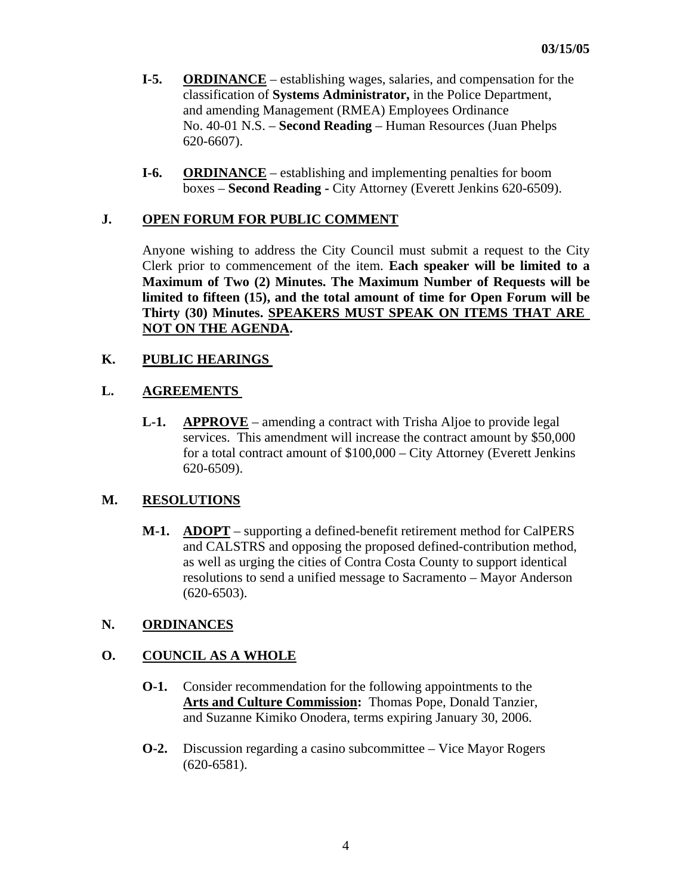- **I-5. ORDINANCE** establishing wages, salaries, and compensation for the classification of **Systems Administrator,** in the Police Department, and amending Management (RMEA) Employees Ordinance No. 40-01 N.S. – **Second Reading** – Human Resources (Juan Phelps 620-6607).
- **I-6.** ORDINANCE establishing and implementing penalties for boom boxes – **Second Reading -** City Attorney (Everett Jenkins 620-6509).

### **J. OPEN FORUM FOR PUBLIC COMMENT**

Anyone wishing to address the City Council must submit a request to the City Clerk prior to commencement of the item. **Each speaker will be limited to a Maximum of Two (2) Minutes. The Maximum Number of Requests will be limited to fifteen (15), and the total amount of time for Open Forum will be Thirty (30) Minutes. SPEAKERS MUST SPEAK ON ITEMS THAT ARE NOT ON THE AGENDA.** 

### **K. PUBLIC HEARINGS**

### **L. AGREEMENTS**

**L-1.** APPROVE – amending a contract with Trisha Aljoe to provide legal services. This amendment will increase the contract amount by \$50,000 for a total contract amount of \$100,000 – City Attorney (Everett Jenkins 620-6509).

# **M. RESOLUTIONS**

 **M-1. ADOPT** – supporting a defined-benefit retirement method for CalPERS and CALSTRS and opposing the proposed defined-contribution method, as well as urging the cities of Contra Costa County to support identical resolutions to send a unified message to Sacramento – Mayor Anderson (620-6503).

#### **N. ORDINANCES**

# **O. COUNCIL AS A WHOLE**

- **O-1.** Consider recommendation for the following appointments to the **Arts and Culture Commission:** Thomas Pope, Donald Tanzier, and Suzanne Kimiko Onodera, terms expiring January 30, 2006.
- **O-2.** Discussion regarding a casino subcommittee Vice Mayor Rogers (620-6581).